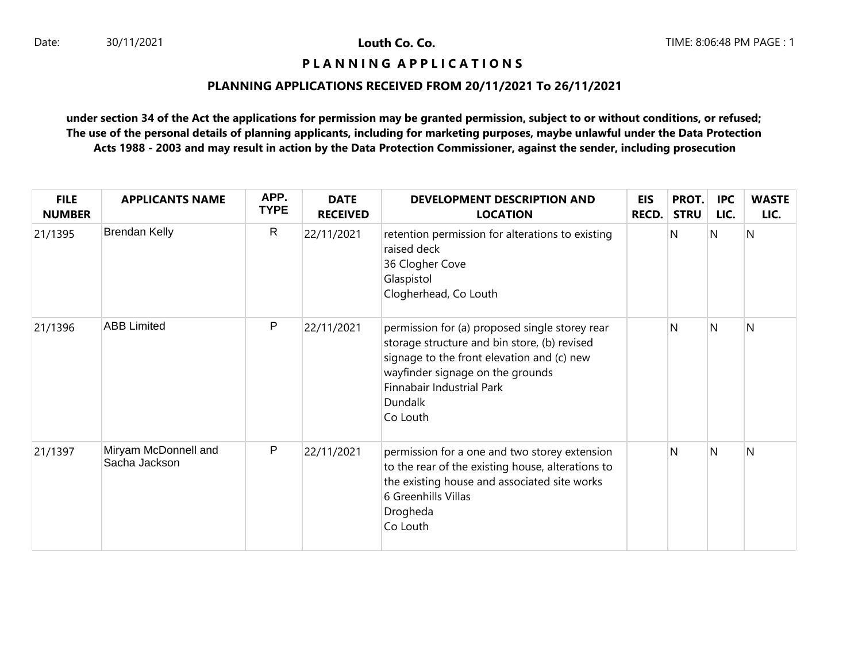# **P L A N N I N G A P P L I C A T I O N S**

# **PLANNING APPLICATIONS RECEIVED FROM 20/11/2021 To 26/11/2021**

| <b>FILE</b><br><b>NUMBER</b> | <b>APPLICANTS NAME</b>                | APP.<br><b>TYPE</b> | <b>DATE</b><br><b>RECEIVED</b> | DEVELOPMENT DESCRIPTION AND<br><b>LOCATION</b>                                                                                                                                                                                       | <b>EIS</b><br><b>RECD.</b> | PROT.<br><b>STRU</b> | <b>IPC</b><br>LIC. | <b>WASTE</b><br>LIC. |
|------------------------------|---------------------------------------|---------------------|--------------------------------|--------------------------------------------------------------------------------------------------------------------------------------------------------------------------------------------------------------------------------------|----------------------------|----------------------|--------------------|----------------------|
| 21/1395                      | <b>Brendan Kelly</b>                  | $\mathsf{R}$        | 22/11/2021                     | retention permission for alterations to existing<br>raised deck<br>36 Clogher Cove<br>Glaspistol<br>Clogherhead, Co Louth                                                                                                            |                            | N                    | N                  | $\overline{N}$       |
| 21/1396                      | <b>ABB Limited</b>                    | P                   | 22/11/2021                     | permission for (a) proposed single storey rear<br>storage structure and bin store, (b) revised<br>signage to the front elevation and (c) new<br>wayfinder signage on the grounds<br>Finnabair Industrial Park<br>Dundalk<br>Co Louth |                            | N                    | <sup>N</sup>       | N                    |
| 21/1397                      | Miryam McDonnell and<br>Sacha Jackson | P                   | 22/11/2021                     | permission for a one and two storey extension<br>to the rear of the existing house, alterations to<br>the existing house and associated site works<br>6 Greenhills Villas<br>Drogheda<br>Co Louth                                    |                            | N                    | N                  | N                    |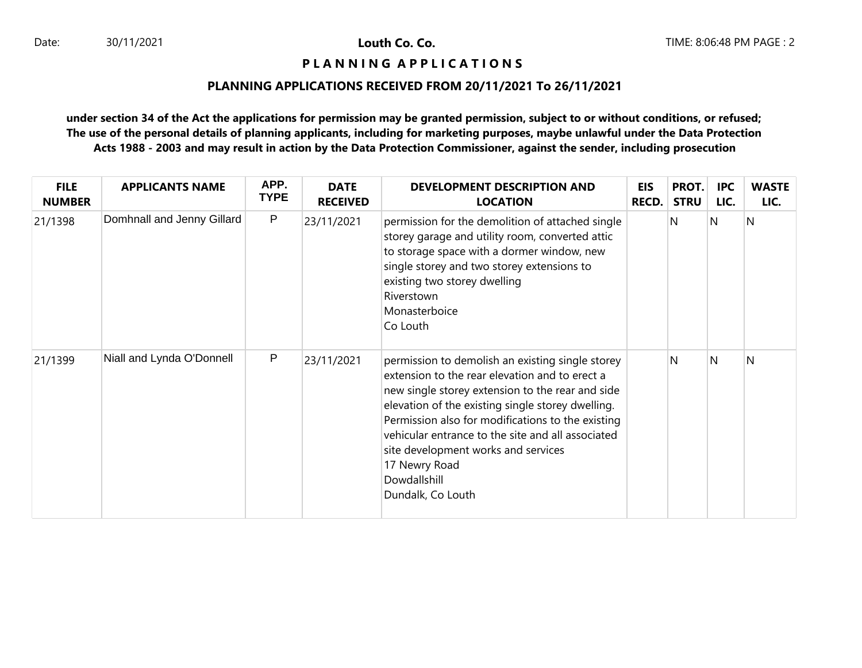### **P L A N N I N G A P P L I C A T I O N S**

# **PLANNING APPLICATIONS RECEIVED FROM 20/11/2021 To 26/11/2021**

| <b>FILE</b><br><b>NUMBER</b> | <b>APPLICANTS NAME</b>     | APP.<br><b>TYPE</b> | <b>DATE</b><br><b>RECEIVED</b> | <b>DEVELOPMENT DESCRIPTION AND</b><br><b>LOCATION</b>                                                                                                                                                                                                                                                                                                                                                              | <b>EIS</b><br>RECD. | PROT.<br><b>STRU</b> | <b>IPC</b><br>LIC. | <b>WASTE</b><br>LIC. |
|------------------------------|----------------------------|---------------------|--------------------------------|--------------------------------------------------------------------------------------------------------------------------------------------------------------------------------------------------------------------------------------------------------------------------------------------------------------------------------------------------------------------------------------------------------------------|---------------------|----------------------|--------------------|----------------------|
| 21/1398                      | Domhnall and Jenny Gillard | $\mathsf{P}$        | 23/11/2021                     | permission for the demolition of attached single<br>storey garage and utility room, converted attic<br>to storage space with a dormer window, new<br>single storey and two storey extensions to<br>existing two storey dwelling<br>Riverstown<br>Monasterboice<br>Co Louth                                                                                                                                         |                     | N                    | N                  | N                    |
| 21/1399                      | Niall and Lynda O'Donnell  | $\mathsf{P}$        | 23/11/2021                     | permission to demolish an existing single storey<br>extension to the rear elevation and to erect a<br>new single storey extension to the rear and side<br>elevation of the existing single storey dwelling.<br>Permission also for modifications to the existing<br>vehicular entrance to the site and all associated<br>site development works and services<br>17 Newry Road<br>Dowdallshill<br>Dundalk, Co Louth |                     | N                    | N                  | N                    |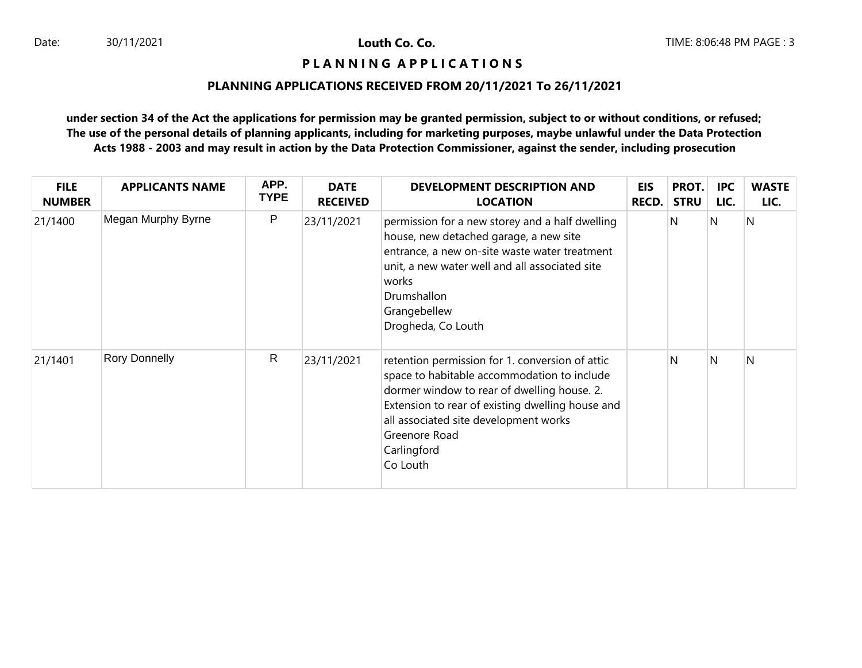### **P L A N N I N G A P P L I C A T I O N S**

### **PLANNING APPLICATIONS RECEIVED FROM 20/11/2021 To 26/11/2021**

| <b>FILE</b><br><b>NUMBER</b> | <b>APPLICANTS NAME</b> | APP.<br><b>TYPE</b> | <b>DATE</b><br><b>RECEIVED</b> | DEVELOPMENT DESCRIPTION AND<br><b>LOCATION</b>                                                                                                                                                                                                                                         | <b>EIS</b><br><b>RECD.</b> | PROT.<br><b>STRU</b> | <b>IPC</b><br>LIC. | <b>WASTE</b><br>LIC. |
|------------------------------|------------------------|---------------------|--------------------------------|----------------------------------------------------------------------------------------------------------------------------------------------------------------------------------------------------------------------------------------------------------------------------------------|----------------------------|----------------------|--------------------|----------------------|
| 21/1400                      | Megan Murphy Byrne     | P                   | 23/11/2021                     | permission for a new storey and a half dwelling<br>house, new detached garage, a new site<br>entrance, a new on-site waste water treatment<br>unit, a new water well and all associated site<br>works<br>Drumshallon<br>Grangebellew<br>Drogheda, Co Louth                             |                            | N                    | N                  | N                    |
| 21/1401                      | <b>Rory Donnelly</b>   | $\mathsf{R}$        | 23/11/2021                     | retention permission for 1. conversion of attic<br>space to habitable accommodation to include<br>dormer window to rear of dwelling house. 2.<br>Extension to rear of existing dwelling house and<br>all associated site development works<br>Greenore Road<br>Carlingford<br>Co Louth |                            | N                    | N                  | N                    |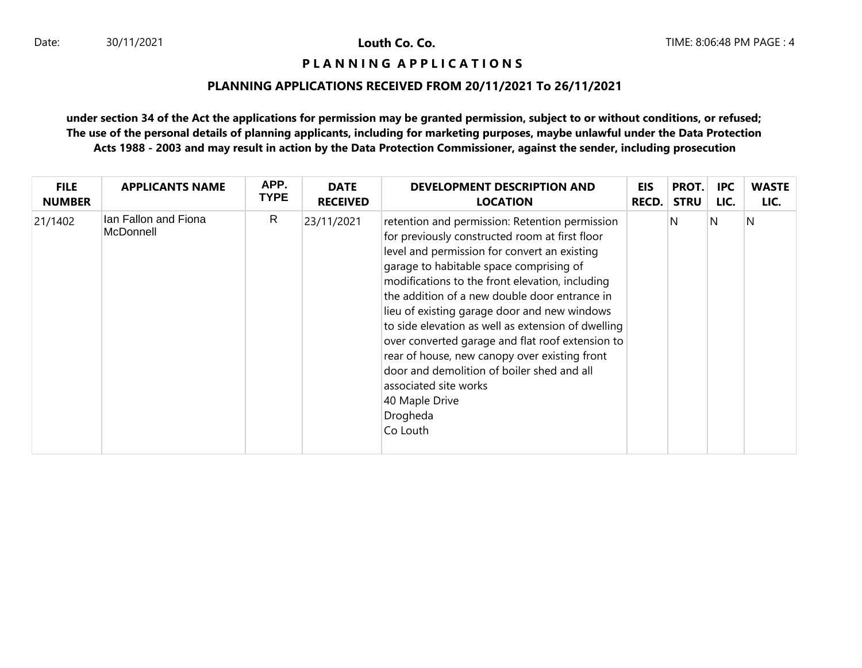### **P L A N N I N G A P P L I C A T I O N S**

# **PLANNING APPLICATIONS RECEIVED FROM 20/11/2021 To 26/11/2021**

| <b>FILE</b>   | <b>APPLICANTS NAME</b>            | APP.        | <b>DATE</b>     | DEVELOPMENT DESCRIPTION AND                                                                                                                                                                                                                                                                                                                                                                                                                                                                                                                                                                                                 | EIS          | PROT.       | <b>IPC</b> | <b>WASTE</b> |
|---------------|-----------------------------------|-------------|-----------------|-----------------------------------------------------------------------------------------------------------------------------------------------------------------------------------------------------------------------------------------------------------------------------------------------------------------------------------------------------------------------------------------------------------------------------------------------------------------------------------------------------------------------------------------------------------------------------------------------------------------------------|--------------|-------------|------------|--------------|
| <b>NUMBER</b> |                                   | <b>TYPE</b> | <b>RECEIVED</b> | <b>LOCATION</b>                                                                                                                                                                                                                                                                                                                                                                                                                                                                                                                                                                                                             | <b>RECD.</b> | <b>STRU</b> | LIC.       | LIC.         |
| 21/1402       | Ian Fallon and Fiona<br>McDonnell | R           | 23/11/2021      | retention and permission: Retention permission<br>for previously constructed room at first floor<br>level and permission for convert an existing<br>garage to habitable space comprising of<br>modifications to the front elevation, including<br>the addition of a new double door entrance in<br>lieu of existing garage door and new windows<br>to side elevation as well as extension of dwelling<br>over converted garage and flat roof extension to<br>rear of house, new canopy over existing front<br>door and demolition of boiler shed and all<br>associated site works<br>40 Maple Drive<br>Drogheda<br>Co Louth |              | N           | N          | N            |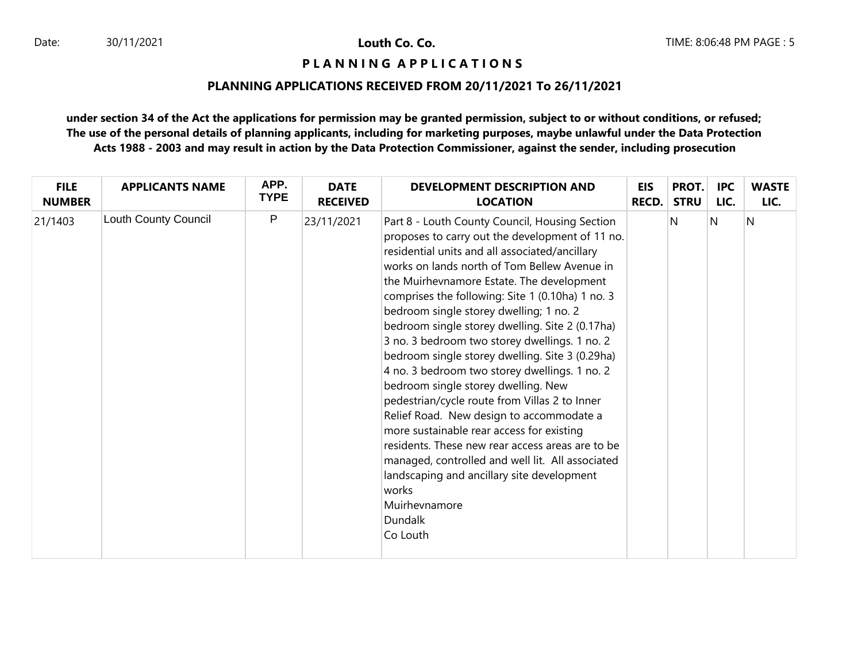### **P L A N N I N G A P P L I C A T I O N S**

### **PLANNING APPLICATIONS RECEIVED FROM 20/11/2021 To 26/11/2021**

| <b>FILE</b>   | <b>APPLICANTS NAME</b> | APP.         | <b>DATE</b>     | DEVELOPMENT DESCRIPTION AND                                                                                                                                                                                                                                                                                                                                                                                                                                                                                                                                                                                                                                                                                                                                                                                                                                                                                                                            | <b>EIS</b> | PROT.       | <b>IPC</b> | <b>WASTE</b> |
|---------------|------------------------|--------------|-----------------|--------------------------------------------------------------------------------------------------------------------------------------------------------------------------------------------------------------------------------------------------------------------------------------------------------------------------------------------------------------------------------------------------------------------------------------------------------------------------------------------------------------------------------------------------------------------------------------------------------------------------------------------------------------------------------------------------------------------------------------------------------------------------------------------------------------------------------------------------------------------------------------------------------------------------------------------------------|------------|-------------|------------|--------------|
| <b>NUMBER</b> |                        | <b>TYPE</b>  | <b>RECEIVED</b> | <b>LOCATION</b>                                                                                                                                                                                                                                                                                                                                                                                                                                                                                                                                                                                                                                                                                                                                                                                                                                                                                                                                        | RECD.      | <b>STRU</b> | LIC.       | LIC.         |
| 21/1403       | Louth County Council   | $\mathsf{P}$ | 23/11/2021      | Part 8 - Louth County Council, Housing Section<br>proposes to carry out the development of 11 no.<br>residential units and all associated/ancillary<br>works on lands north of Tom Bellew Avenue in<br>the Muirhevnamore Estate. The development<br>comprises the following: Site 1 (0.10ha) 1 no. 3<br>bedroom single storey dwelling; 1 no. 2<br>bedroom single storey dwelling. Site 2 (0.17ha)<br>3 no. 3 bedroom two storey dwellings. 1 no. 2<br>bedroom single storey dwelling. Site 3 (0.29ha)<br>4 no. 3 bedroom two storey dwellings. 1 no. 2<br>bedroom single storey dwelling. New<br>pedestrian/cycle route from Villas 2 to Inner<br>Relief Road. New design to accommodate a<br>more sustainable rear access for existing<br>residents. These new rear access areas are to be<br>managed, controlled and well lit. All associated<br>landscaping and ancillary site development<br>works<br>Muirhevnamore<br><b>Dundalk</b><br>Co Louth |            | N           | N          | N            |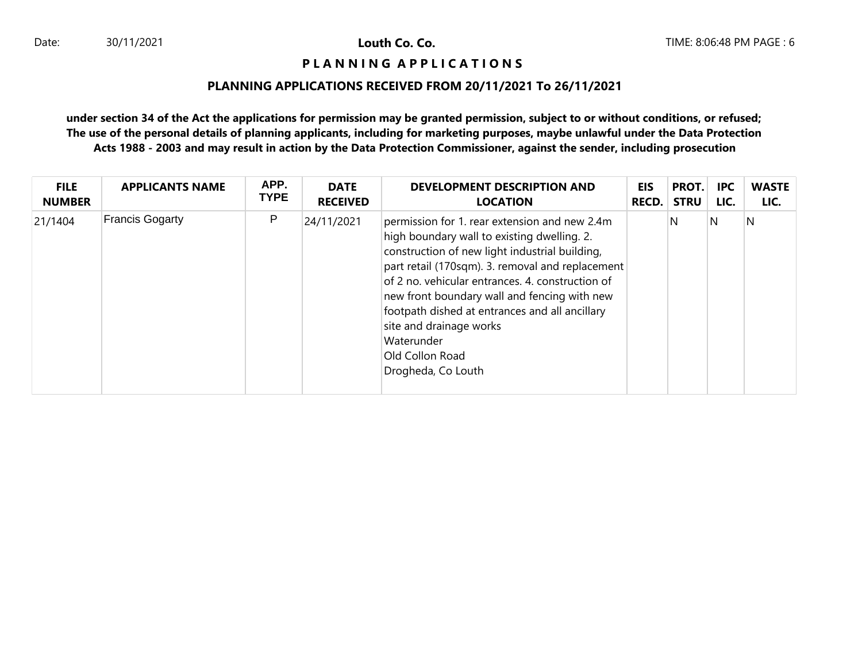### **P L A N N I N G A P P L I C A T I O N S**

## **PLANNING APPLICATIONS RECEIVED FROM 20/11/2021 To 26/11/2021**

| <b>FILE</b>   | <b>APPLICANTS NAME</b> | APP.        | <b>DATE</b>     | DEVELOPMENT DESCRIPTION AND                                                                                                                                                                                                                                                                                                                                                                                                                | EIS   | PROT.       | <b>IPC</b> | <b>WASTE</b> |
|---------------|------------------------|-------------|-----------------|--------------------------------------------------------------------------------------------------------------------------------------------------------------------------------------------------------------------------------------------------------------------------------------------------------------------------------------------------------------------------------------------------------------------------------------------|-------|-------------|------------|--------------|
| <b>NUMBER</b> |                        | <b>TYPE</b> | <b>RECEIVED</b> | <b>LOCATION</b>                                                                                                                                                                                                                                                                                                                                                                                                                            | RECD. | <b>STRU</b> | LIC.       | LIC.         |
| 21/1404       | <b>Francis Gogarty</b> | P           | 24/11/2021      | permission for 1. rear extension and new 2.4m<br>high boundary wall to existing dwelling. 2.<br>construction of new light industrial building,<br>part retail (170sqm). 3. removal and replacement<br>of 2 no. vehicular entrances. 4. construction of<br>new front boundary wall and fencing with new<br>footpath dished at entrances and all ancillary<br>site and drainage works<br>Waterunder<br>Old Collon Road<br>Drogheda, Co Louth |       | N.          | N          | N            |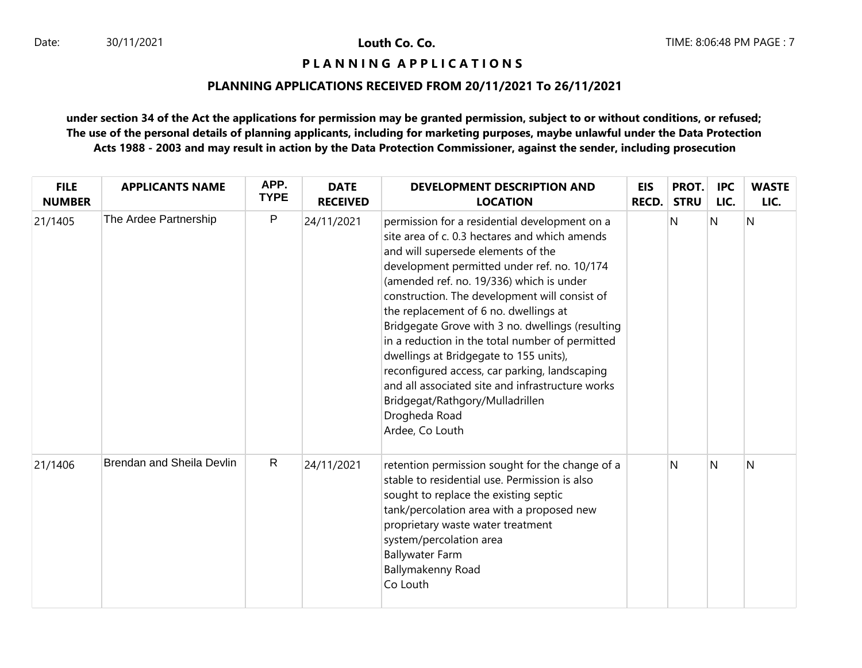### **P L A N N I N G A P P L I C A T I O N S**

### **PLANNING APPLICATIONS RECEIVED FROM 20/11/2021 To 26/11/2021**

| <b>FILE</b><br><b>NUMBER</b> | <b>APPLICANTS NAME</b>           | APP.<br><b>TYPE</b> | <b>DATE</b><br><b>RECEIVED</b> | <b>DEVELOPMENT DESCRIPTION AND</b><br><b>LOCATION</b>                                                                                                                                                                                                                                                                                                                                                                                                                                                                                                                                                                                                  | <b>EIS</b><br><b>RECD.</b> | PROT.<br><b>STRU</b> | <b>IPC</b><br>LIC. | <b>WASTE</b><br>LIC. |
|------------------------------|----------------------------------|---------------------|--------------------------------|--------------------------------------------------------------------------------------------------------------------------------------------------------------------------------------------------------------------------------------------------------------------------------------------------------------------------------------------------------------------------------------------------------------------------------------------------------------------------------------------------------------------------------------------------------------------------------------------------------------------------------------------------------|----------------------------|----------------------|--------------------|----------------------|
| 21/1405                      | The Ardee Partnership            | P                   | 24/11/2021                     | permission for a residential development on a<br>site area of c. 0.3 hectares and which amends<br>and will supersede elements of the<br>development permitted under ref. no. 10/174<br>(amended ref. no. 19/336) which is under<br>construction. The development will consist of<br>the replacement of 6 no. dwellings at<br>Bridgegate Grove with 3 no. dwellings (resulting<br>in a reduction in the total number of permitted<br>dwellings at Bridgegate to 155 units),<br>reconfigured access, car parking, landscaping<br>and all associated site and infrastructure works<br>Bridgegat/Rathgory/Mulladrillen<br>Drogheda Road<br>Ardee, Co Louth |                            | N                    | $\mathsf{N}$       | $\overline{N}$       |
| 21/1406                      | <b>Brendan and Sheila Devlin</b> | $\mathsf{R}$        | 24/11/2021                     | retention permission sought for the change of a<br>stable to residential use. Permission is also<br>sought to replace the existing septic<br>tank/percolation area with a proposed new<br>proprietary waste water treatment<br>system/percolation area<br><b>Ballywater Farm</b><br>Ballymakenny Road<br>Co Louth                                                                                                                                                                                                                                                                                                                                      |                            | N                    | N                  | N                    |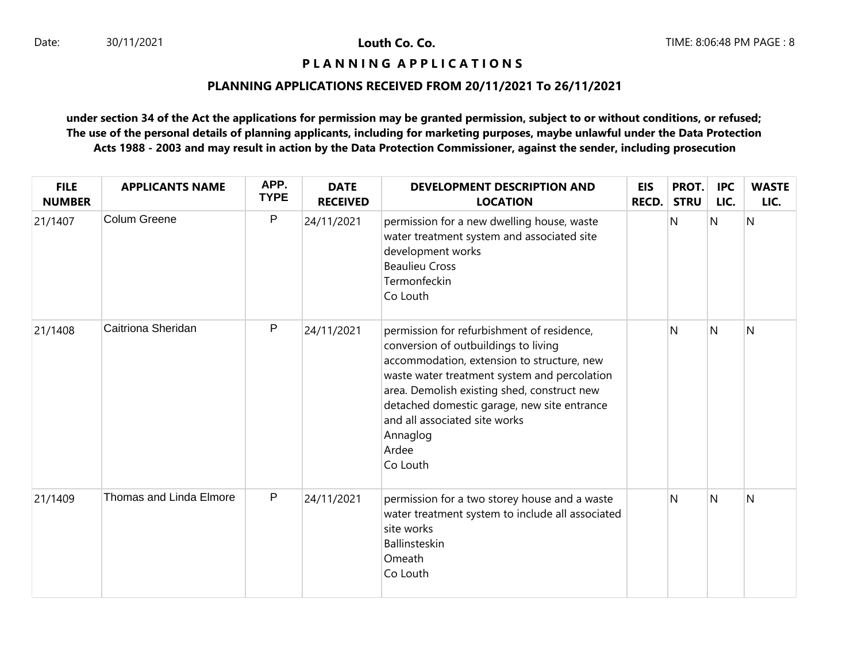### **P L A N N I N G A P P L I C A T I O N S**

# **PLANNING APPLICATIONS RECEIVED FROM 20/11/2021 To 26/11/2021**

| <b>FILE</b><br><b>NUMBER</b> | <b>APPLICANTS NAME</b>  | APP.<br><b>TYPE</b> | <b>DATE</b><br><b>RECEIVED</b> | <b>DEVELOPMENT DESCRIPTION AND</b><br><b>LOCATION</b>                                                                                                                                                                                                                                                                                            | <b>EIS</b><br><b>RECD.</b> | PROT.<br><b>STRU</b> | <b>IPC</b><br>LIC. | <b>WASTE</b><br>LIC. |
|------------------------------|-------------------------|---------------------|--------------------------------|--------------------------------------------------------------------------------------------------------------------------------------------------------------------------------------------------------------------------------------------------------------------------------------------------------------------------------------------------|----------------------------|----------------------|--------------------|----------------------|
| 21/1407                      | Colum Greene            | P                   | 24/11/2021                     | permission for a new dwelling house, waste<br>water treatment system and associated site<br>development works<br><b>Beaulieu Cross</b><br>Termonfeckin<br>Co Louth                                                                                                                                                                               |                            | N                    | N                  | N                    |
| 21/1408                      | Caitriona Sheridan      | P                   | 24/11/2021                     | permission for refurbishment of residence,<br>conversion of outbuildings to living<br>accommodation, extension to structure, new<br>waste water treatment system and percolation<br>area. Demolish existing shed, construct new<br>detached domestic garage, new site entrance<br>and all associated site works<br>Annaglog<br>Ardee<br>Co Louth |                            | N                    | N                  | N                    |
| 21/1409                      | Thomas and Linda Elmore | P                   | 24/11/2021                     | permission for a two storey house and a waste<br>water treatment system to include all associated<br>site works<br>Ballinsteskin<br>Omeath<br>Co Louth                                                                                                                                                                                           |                            | N                    | N                  | N                    |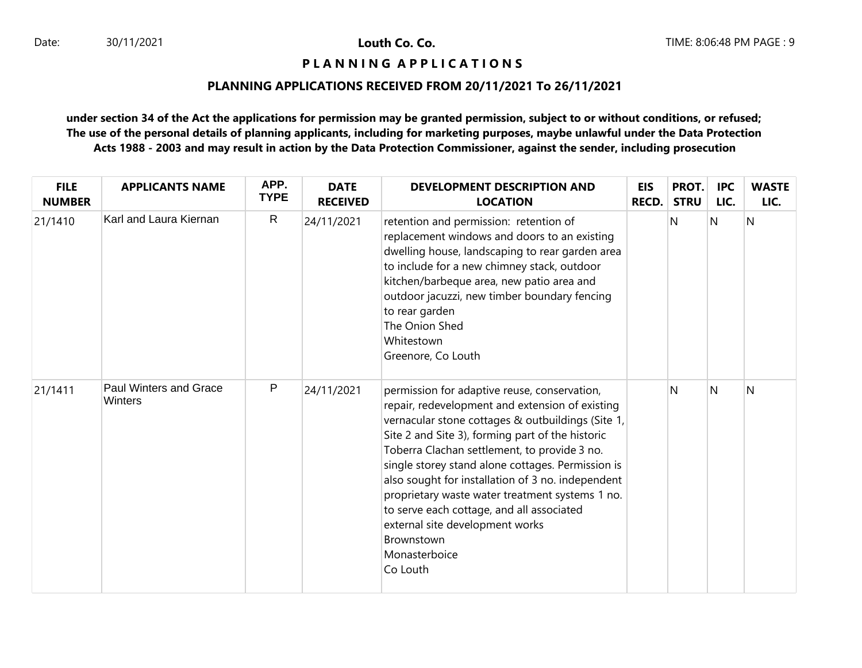### **P L A N N I N G A P P L I C A T I O N S**

# **PLANNING APPLICATIONS RECEIVED FROM 20/11/2021 To 26/11/2021**

| <b>FILE</b><br><b>NUMBER</b> | <b>APPLICANTS NAME</b>            | APP.<br><b>TYPE</b> | <b>DATE</b><br><b>RECEIVED</b> | <b>DEVELOPMENT DESCRIPTION AND</b><br><b>LOCATION</b>                                                                                                                                                                                                                                                                                                                                                                                                                                                                                            | <b>EIS</b><br><b>RECD.</b> | PROT.<br><b>STRU</b> | <b>IPC</b><br>LIC. | <b>WASTE</b><br>LIC. |
|------------------------------|-----------------------------------|---------------------|--------------------------------|--------------------------------------------------------------------------------------------------------------------------------------------------------------------------------------------------------------------------------------------------------------------------------------------------------------------------------------------------------------------------------------------------------------------------------------------------------------------------------------------------------------------------------------------------|----------------------------|----------------------|--------------------|----------------------|
| 21/1410                      | Karl and Laura Kiernan            | $\mathsf{R}$        | 24/11/2021                     | retention and permission: retention of<br>replacement windows and doors to an existing<br>dwelling house, landscaping to rear garden area<br>to include for a new chimney stack, outdoor<br>kitchen/barbeque area, new patio area and<br>outdoor jacuzzi, new timber boundary fencing<br>to rear garden<br>The Onion Shed<br>Whitestown<br>Greenore, Co Louth                                                                                                                                                                                    |                            | N                    | N                  | $\overline{N}$       |
| 21/1411                      | Paul Winters and Grace<br>Winters | P                   | 24/11/2021                     | permission for adaptive reuse, conservation,<br>repair, redevelopment and extension of existing<br>vernacular stone cottages & outbuildings (Site 1,<br>Site 2 and Site 3), forming part of the historic<br>Toberra Clachan settlement, to provide 3 no.<br>single storey stand alone cottages. Permission is<br>also sought for installation of 3 no. independent<br>proprietary waste water treatment systems 1 no.<br>to serve each cottage, and all associated<br>external site development works<br>Brownstown<br>Monasterboice<br>Co Louth |                            | N                    | <sup>N</sup>       | N                    |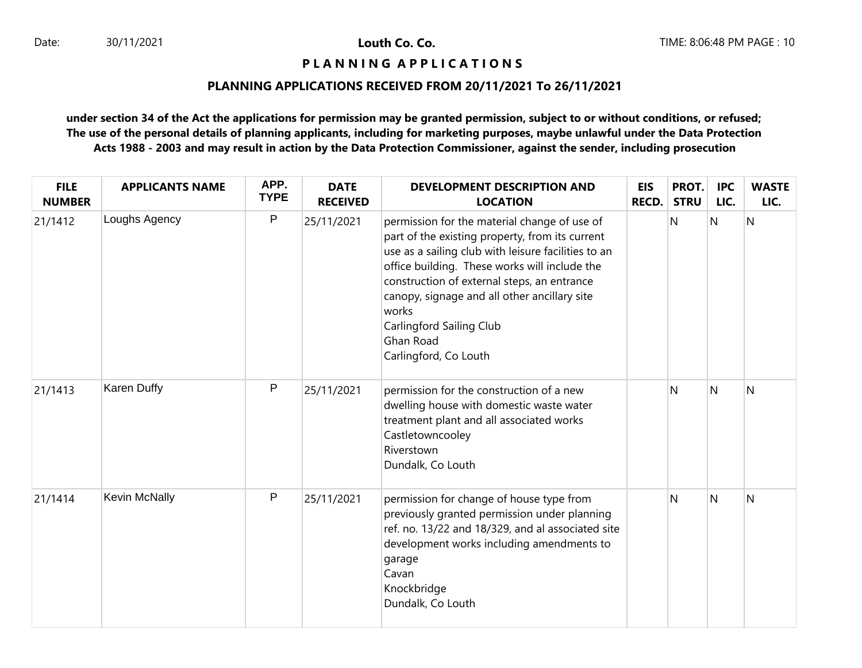**P L A N N I N G A P P L I C A T I O N S** 

# **PLANNING APPLICATIONS RECEIVED FROM 20/11/2021 To 26/11/2021**

| <b>FILE</b><br><b>NUMBER</b> | <b>APPLICANTS NAME</b> | APP.<br><b>TYPE</b> | <b>DATE</b><br><b>RECEIVED</b> | <b>DEVELOPMENT DESCRIPTION AND</b><br><b>LOCATION</b>                                                                                                                                                                                                                                                                                                                             | <b>EIS</b><br>RECD. | PROT.<br><b>STRU</b> | <b>IPC</b><br>LIC.      | <b>WASTE</b><br>LIC. |
|------------------------------|------------------------|---------------------|--------------------------------|-----------------------------------------------------------------------------------------------------------------------------------------------------------------------------------------------------------------------------------------------------------------------------------------------------------------------------------------------------------------------------------|---------------------|----------------------|-------------------------|----------------------|
| 21/1412                      | Loughs Agency          | P                   | 25/11/2021                     | permission for the material change of use of<br>part of the existing property, from its current<br>use as a sailing club with leisure facilities to an<br>office building. These works will include the<br>construction of external steps, an entrance<br>canopy, signage and all other ancillary site<br>works<br>Carlingford Sailing Club<br>Ghan Road<br>Carlingford, Co Louth |                     | <sup>N</sup>         | N                       | N                    |
| 21/1413                      | Karen Duffy            | P                   | 25/11/2021                     | permission for the construction of a new<br>dwelling house with domestic waste water<br>treatment plant and all associated works<br>Castletowncooley<br>Riverstown<br>Dundalk, Co Louth                                                                                                                                                                                           |                     | <sup>N</sup>         | N                       | N                    |
| 21/1414                      | Kevin McNally          | P                   | 25/11/2021                     | permission for change of house type from<br>previously granted permission under planning<br>ref. no. 13/22 and 18/329, and al associated site<br>development works including amendments to<br>garage<br>Cavan<br>Knockbridge<br>Dundalk, Co Louth                                                                                                                                 |                     | <sup>N</sup>         | $\overline{\mathsf{N}}$ | N                    |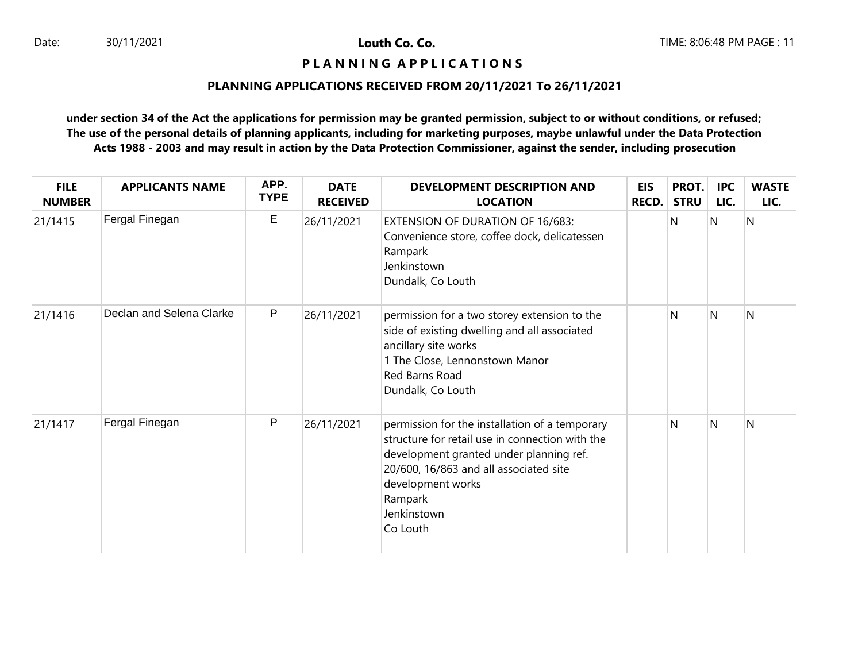### **P L A N N I N G A P P L I C A T I O N S**

# **PLANNING APPLICATIONS RECEIVED FROM 20/11/2021 To 26/11/2021**

| <b>FILE</b><br><b>NUMBER</b> | <b>APPLICANTS NAME</b>   | APP.<br><b>TYPE</b> | <b>DATE</b><br><b>RECEIVED</b> | DEVELOPMENT DESCRIPTION AND<br><b>LOCATION</b>                                                                                                                                                                                                    | <b>EIS</b><br><b>RECD.</b> | PROT.<br><b>STRU</b> | <b>IPC</b><br>LIC. | <b>WASTE</b><br>LIC. |
|------------------------------|--------------------------|---------------------|--------------------------------|---------------------------------------------------------------------------------------------------------------------------------------------------------------------------------------------------------------------------------------------------|----------------------------|----------------------|--------------------|----------------------|
| 21/1415                      | Fergal Finegan           | E                   | 26/11/2021                     | EXTENSION OF DURATION OF 16/683:<br>Convenience store, coffee dock, delicatessen<br>Rampark<br>Jenkinstown<br>Dundalk, Co Louth                                                                                                                   |                            | N                    | N                  | $\overline{N}$       |
| 21/1416                      | Declan and Selena Clarke | P                   | 26/11/2021                     | permission for a two storey extension to the<br>side of existing dwelling and all associated<br>ancillary site works<br>1 The Close, Lennonstown Manor<br>Red Barns Road<br>Dundalk, Co Louth                                                     |                            | N                    | N                  | N                    |
| 21/1417                      | Fergal Finegan           | P                   | 26/11/2021                     | permission for the installation of a temporary<br>structure for retail use in connection with the<br>development granted under planning ref.<br>20/600, 16/863 and all associated site<br>development works<br>Rampark<br>Jenkinstown<br>Co Louth |                            | N                    | N                  | N                    |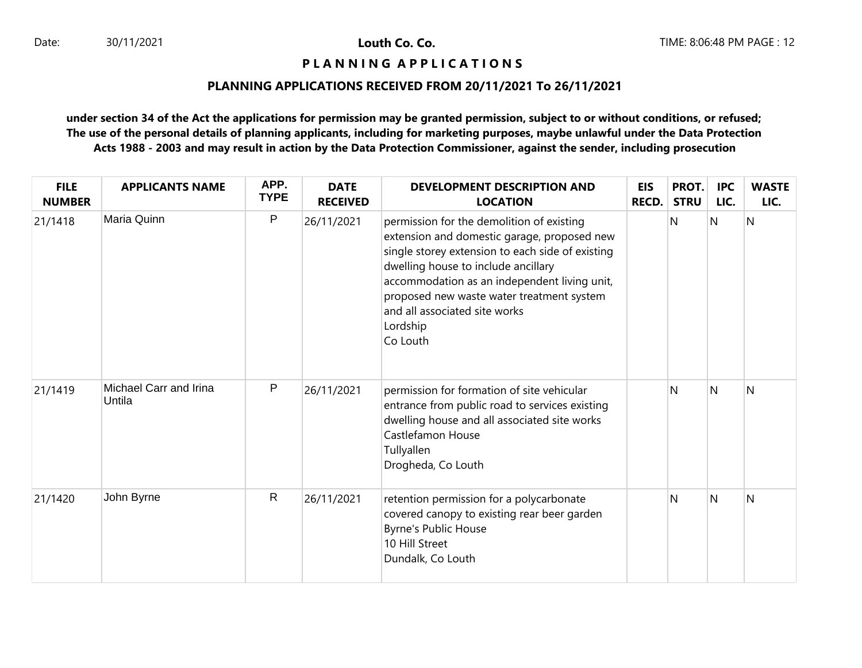**P L A N N I N G A P P L I C A T I O N S** 

## **PLANNING APPLICATIONS RECEIVED FROM 20/11/2021 To 26/11/2021**

| <b>FILE</b><br><b>NUMBER</b> | <b>APPLICANTS NAME</b>           | APP.<br><b>TYPE</b> | <b>DATE</b><br><b>RECEIVED</b> | DEVELOPMENT DESCRIPTION AND<br><b>LOCATION</b>                                                                                                                                                                                                                                                                                            | <b>EIS</b><br><b>RECD.</b> | PROT.<br><b>STRU</b> | <b>IPC</b><br>LIC. | <b>WASTE</b><br>LIC. |
|------------------------------|----------------------------------|---------------------|--------------------------------|-------------------------------------------------------------------------------------------------------------------------------------------------------------------------------------------------------------------------------------------------------------------------------------------------------------------------------------------|----------------------------|----------------------|--------------------|----------------------|
| 21/1418                      | Maria Quinn                      | P                   | 26/11/2021                     | permission for the demolition of existing<br>extension and domestic garage, proposed new<br>single storey extension to each side of existing<br>dwelling house to include ancillary<br>accommodation as an independent living unit,<br>proposed new waste water treatment system<br>and all associated site works<br>Lordship<br>Co Louth |                            | N                    | N                  | $\overline{N}$       |
| 21/1419                      | Michael Carr and Irina<br>Untila | P                   | 26/11/2021                     | permission for formation of site vehicular<br>entrance from public road to services existing<br>dwelling house and all associated site works<br>Castlefamon House<br>Tullyallen<br>Drogheda, Co Louth                                                                                                                                     |                            | N                    | N                  | N                    |
| 21/1420                      | John Byrne                       | $\mathsf{R}$        | 26/11/2021                     | retention permission for a polycarbonate<br>covered canopy to existing rear beer garden<br><b>Byrne's Public House</b><br>10 Hill Street<br>Dundalk, Co Louth                                                                                                                                                                             |                            | N                    | N                  | N                    |